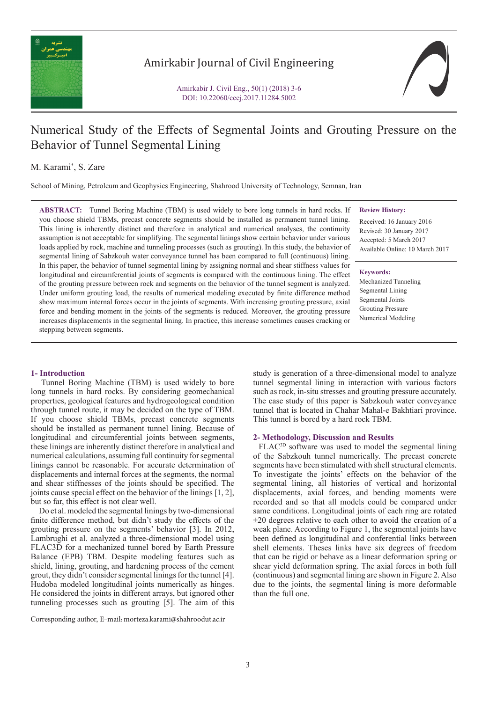

# Amirkabir Journal of Civil Engineering

Amirkabir J. Civil Eng., 50(1) (2018) 3-6 DOI: 10.22060/ceej.2017.11284.5002

# Numerical Study of the Effects of Segmental Joints and Grouting Pressure on the Behavior of Tunnel Segmental Lining

## M. Karami\* , S. Zare

School of Mining, Petroleum and Geophysics Engineering, Shahrood University of Technology, Semnan, Iran

**ABSTRACT:** Tunnel Boring Machine (TBM) is used widely to bore long tunnels in hard rocks. If you choose shield TBMs, precast concrete segments should be installed as permanent tunnel lining. This lining is inherently distinct and therefore in analytical and numerical analyses, the continuity assumption is not acceptable for simplifying. The segmental linings show certain behavior under various loads applied by rock, machine and tunneling processes (such as grouting). In this study, the behavior of segmental lining of Sabzkouh water conveyance tunnel has been compared to full (continuous) lining. In this paper, the behavior of tunnel segmental lining by assigning normal and shear stiffness values for longitudinal and circumferential joints of segments is compared with the continuous lining. The effect of the grouting pressure between rock and segments on the behavior of the tunnel segment is analyzed. Under uniform grouting load, the results of numerical modeling executed by finite difference method show maximum internal forces occur in the joints of segments. With increasing grouting pressure, axial force and bending moment in the joints of the segments is reduced. Moreover, the grouting pressure increases displacements in the segmental lining. In practice, this increase sometimes causes cracking or stepping between segments.

### **Review History:**

Received: 16 January 2016 Revised: 30 January 2017 Accepted: 5 March 2017 Available Online: 10 March 2017

#### **Keywords:**

Mechanized Tunneling Segmental Lining Segmental Joints Grouting Pressure Numerical Modeling

## **1- Introduction**

 Tunnel Boring Machine (TBM) is used widely to bore long tunnels in hard rocks. By considering geomechanical properties, geological features and hydrogeological condition through tunnel route, it may be decided on the type of TBM. If you choose shield TBMs, precast concrete segments should be installed as permanent tunnel lining. Because of longitudinal and circumferential joints between segments, these linings are inherently distinct therefore in analytical and numerical calculations, assuming full continuity for segmental linings cannot be reasonable. For accurate determination of displacements and internal forces at the segments, the normal and shear stiffnesses of the joints should be specified. The joints cause special effect on the behavior of the linings [1, 2], but so far, this effect is not clear well.

 Do et al. modeled the segmental linings by two-dimensional finite difference method, but didn't study the effects of the grouting pressure on the segments' behavior [3]. In 2012, Lambrughi et al. analyzed a three-dimensional model using FLAC3D for a mechanized tunnel bored by Earth Pressure Balance (EPB) TBM. Despite modeling features such as shield, lining, grouting, and hardening process of the cement grout, they didn't consider segmental linings for the tunnel [4]. Hudoba modeled longitudinal joints numerically as hinges. He considered the joints in different arrays, but ignored other tunneling processes such as grouting [5]. The aim of this

study is generation of a three-dimensional model to analyze tunnel segmental lining in interaction with various factors such as rock, in-situ stresses and grouting pressure accurately. The case study of this paper is Sabzkouh water conveyance tunnel that is located in Chahar Mahal-e Bakhtiari province. This tunnel is bored by a hard rock TBM.

### **2- Methodology, Discussion and Results**

 FLAC3D software was used to model the segmental lining of the Sabzkouh tunnel numerically. The precast concrete segments have been stimulated with shell structural elements. To investigate the joints' effects on the behavior of the segmental lining, all histories of vertical and horizontal displacements, axial forces, and bending moments were recorded and so that all models could be compared under same conditions. Longitudinal joints of each ring are rotated ±20 degrees relative to each other to avoid the creation of a weak plane. According to Figure 1, the segmental joints have been defined as longitudinal and conferential links between shell elements. Theses links have six degrees of freedom that can be rigid or behave as a linear deformation spring or shear yield deformation spring. The axial forces in both full (continuous) and segmental lining are shown in Figure 2. Also due to the joints, the segmental lining is more deformable than the full one.

Corresponding author, E-mail: morteza.karami@shahroodut.ac.ir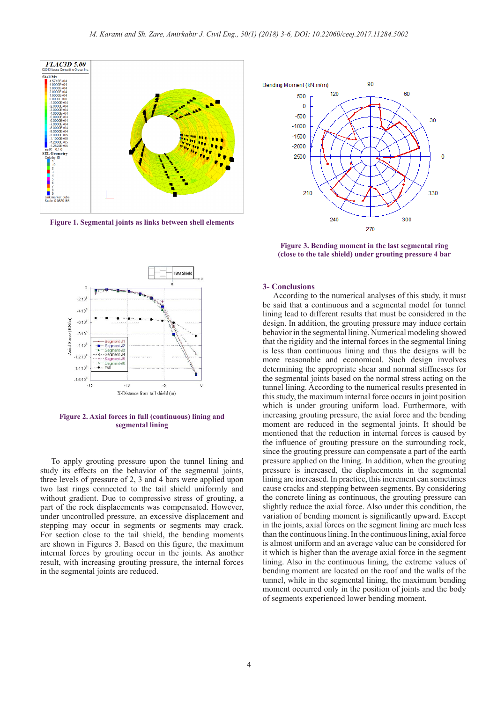

**Figure 1. Segmental joints as links between shell elements**



**Figure 2. Axial forces in full (continuous) lining and segmental lining**

 To apply grouting pressure upon the tunnel lining and study its effects on the behavior of the segmental joints, three levels of pressure of 2, 3 and 4 bars were applied upon two last rings connected to the tail shield uniformly and without gradient. Due to compressive stress of grouting, a part of the rock displacements was compensated. However, under uncontrolled pressure, an excessive displacement and stepping may occur in segments or segments may crack. For section close to the tail shield, the bending moments are shown in Figures 3. Based on this figure, the maximum internal forces by grouting occur in the joints. As another result, with increasing grouting pressure, the internal forces in the segmental joints are reduced.



**Figure 3. Bending moment in the last segmental ring (close to the tale shield) under grouting pressure 4 bar**

#### **3- Conclusions**

 According to the numerical analyses of this study, it must be said that a continuous and a segmental model for tunnel lining lead to different results that must be considered in the design. In addition, the grouting pressure may induce certain behavior in the segmental lining. Numerical modeling showed that the rigidity and the internal forces in the segmental lining is less than continuous lining and thus the designs will be more reasonable and economical. Such design involves determining the appropriate shear and normal stiffnesses for the segmental joints based on the normal stress acting on the tunnel lining. According to the numerical results presented in this study, the maximum internal force occurs in joint position which is under grouting uniform load. Furthermore, with increasing grouting pressure, the axial force and the bending moment are reduced in the segmental joints. It should be mentioned that the reduction in internal forces is caused by the influence of grouting pressure on the surrounding rock, since the grouting pressure can compensate a part of the earth pressure applied on the lining. In addition, when the grouting pressure is increased, the displacements in the segmental lining are increased. In practice, this increment can sometimes cause cracks and stepping between segments. By considering the concrete lining as continuous, the grouting pressure can slightly reduce the axial force. Also under this condition, the variation of bending moment is significantly upward. Except in the joints, axial forces on the segment lining are much less than the continuous lining. In the continuous lining, axial force is almost uniform and an average value can be considered for it which is higher than the average axial force in the segment lining. Also in the continuous lining, the extreme values of bending moment are located on the roof and the walls of the tunnel, while in the segmental lining, the maximum bending moment occurred only in the position of joints and the body of segments experienced lower bending moment.